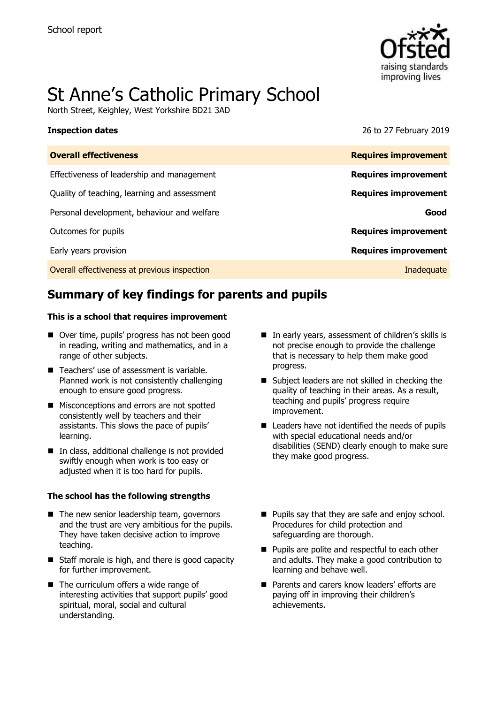

# St Anne's Catholic Primary School

North Street, Keighley, West Yorkshire BD21 3AD

**Inspection dates** 26 to 27 February 2019

| <b>Overall effectiveness</b>                 | <b>Requires improvement</b> |
|----------------------------------------------|-----------------------------|
| Effectiveness of leadership and management   | <b>Requires improvement</b> |
| Quality of teaching, learning and assessment | <b>Requires improvement</b> |
| Personal development, behaviour and welfare  | Good                        |
| Outcomes for pupils                          | <b>Requires improvement</b> |
| Early years provision                        | <b>Requires improvement</b> |
| Overall effectiveness at previous inspection | Inadequate                  |
|                                              |                             |

# **Summary of key findings for parents and pupils**

### **This is a school that requires improvement**

- Over time, pupils' progress has not been good in reading, writing and mathematics, and in a range of other subjects.
- Teachers' use of assessment is variable. Planned work is not consistently challenging enough to ensure good progress.
- **Misconceptions and errors are not spotted** consistently well by teachers and their assistants. This slows the pace of pupils' learning.
- In class, additional challenge is not provided swiftly enough when work is too easy or adjusted when it is too hard for pupils.

### **The school has the following strengths**

- $\blacksquare$  The new senior leadership team, governors and the trust are very ambitious for the pupils. They have taken decisive action to improve teaching.
- Staff morale is high, and there is good capacity for further improvement.
- The curriculum offers a wide range of interesting activities that support pupils' good spiritual, moral, social and cultural understanding.
- In early years, assessment of children's skills is not precise enough to provide the challenge that is necessary to help them make good progress.
- Subject leaders are not skilled in checking the quality of teaching in their areas. As a result, teaching and pupils' progress require improvement.
- Leaders have not identified the needs of pupils with special educational needs and/or disabilities (SEND) clearly enough to make sure they make good progress.
- **Pupils say that they are safe and enjoy school.** Procedures for child protection and safeguarding are thorough.
- **Pupils are polite and respectful to each other** and adults. They make a good contribution to learning and behave well.
- **Parents and carers know leaders' efforts are** paying off in improving their children's achievements.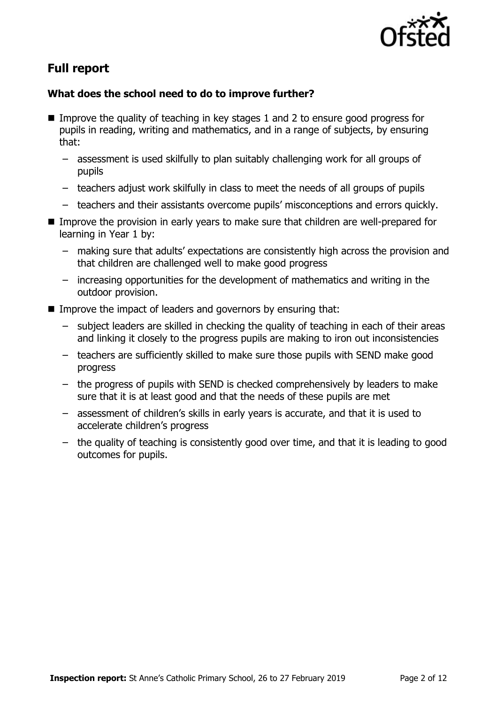

# **Full report**

### **What does the school need to do to improve further?**

- Improve the quality of teaching in key stages 1 and 2 to ensure good progress for pupils in reading, writing and mathematics, and in a range of subjects, by ensuring that:
	- assessment is used skilfully to plan suitably challenging work for all groups of pupils
	- teachers adjust work skilfully in class to meet the needs of all groups of pupils
	- teachers and their assistants overcome pupils' misconceptions and errors quickly.
- Improve the provision in early years to make sure that children are well-prepared for learning in Year 1 by:
	- making sure that adults' expectations are consistently high across the provision and that children are challenged well to make good progress
	- increasing opportunities for the development of mathematics and writing in the outdoor provision.
- Improve the impact of leaders and governors by ensuring that:
	- subject leaders are skilled in checking the quality of teaching in each of their areas and linking it closely to the progress pupils are making to iron out inconsistencies
	- teachers are sufficiently skilled to make sure those pupils with SEND make good progress
	- the progress of pupils with SEND is checked comprehensively by leaders to make sure that it is at least good and that the needs of these pupils are met
	- assessment of children's skills in early years is accurate, and that it is used to accelerate children's progress
	- the quality of teaching is consistently good over time, and that it is leading to good outcomes for pupils.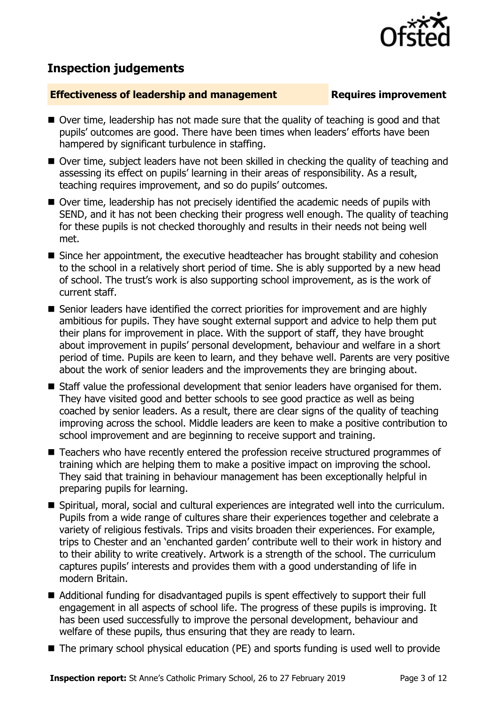## **Inspection judgements**

### **Effectiveness of leadership and management** Requires improvement

- Over time, leadership has not made sure that the quality of teaching is good and that pupils' outcomes are good. There have been times when leaders' efforts have been hampered by significant turbulence in staffing.
- Over time, subject leaders have not been skilled in checking the quality of teaching and assessing its effect on pupils' learning in their areas of responsibility. As a result, teaching requires improvement, and so do pupils' outcomes.
- Over time, leadership has not precisely identified the academic needs of pupils with SEND, and it has not been checking their progress well enough. The quality of teaching for these pupils is not checked thoroughly and results in their needs not being well met.
- Since her appointment, the executive headteacher has brought stability and cohesion to the school in a relatively short period of time. She is ably supported by a new head of school. The trust's work is also supporting school improvement, as is the work of current staff.
- Senior leaders have identified the correct priorities for improvement and are highly ambitious for pupils. They have sought external support and advice to help them put their plans for improvement in place. With the support of staff, they have brought about improvement in pupils' personal development, behaviour and welfare in a short period of time. Pupils are keen to learn, and they behave well. Parents are very positive about the work of senior leaders and the improvements they are bringing about.
- Staff value the professional development that senior leaders have organised for them. They have visited good and better schools to see good practice as well as being coached by senior leaders. As a result, there are clear signs of the quality of teaching improving across the school. Middle leaders are keen to make a positive contribution to school improvement and are beginning to receive support and training.
- Teachers who have recently entered the profession receive structured programmes of training which are helping them to make a positive impact on improving the school. They said that training in behaviour management has been exceptionally helpful in preparing pupils for learning.
- Spiritual, moral, social and cultural experiences are integrated well into the curriculum. Pupils from a wide range of cultures share their experiences together and celebrate a variety of religious festivals. Trips and visits broaden their experiences. For example, trips to Chester and an 'enchanted garden' contribute well to their work in history and to their ability to write creatively. Artwork is a strength of the school. The curriculum captures pupils' interests and provides them with a good understanding of life in modern Britain.
- Additional funding for disadvantaged pupils is spent effectively to support their full engagement in all aspects of school life. The progress of these pupils is improving. It has been used successfully to improve the personal development, behaviour and welfare of these pupils, thus ensuring that they are ready to learn.
- The primary school physical education (PE) and sports funding is used well to provide

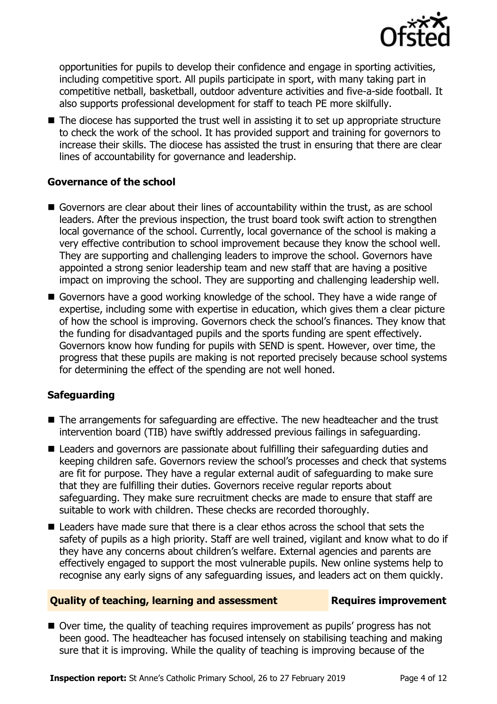

opportunities for pupils to develop their confidence and engage in sporting activities, including competitive sport. All pupils participate in sport, with many taking part in competitive netball, basketball, outdoor adventure activities and five-a-side football. It also supports professional development for staff to teach PE more skilfully.

■ The diocese has supported the trust well in assisting it to set up appropriate structure to check the work of the school. It has provided support and training for governors to increase their skills. The diocese has assisted the trust in ensuring that there are clear lines of accountability for governance and leadership.

### **Governance of the school**

- Governors are clear about their lines of accountability within the trust, as are school leaders. After the previous inspection, the trust board took swift action to strengthen local governance of the school. Currently, local governance of the school is making a very effective contribution to school improvement because they know the school well. They are supporting and challenging leaders to improve the school. Governors have appointed a strong senior leadership team and new staff that are having a positive impact on improving the school. They are supporting and challenging leadership well.
- Governors have a good working knowledge of the school. They have a wide range of expertise, including some with expertise in education, which gives them a clear picture of how the school is improving. Governors check the school's finances. They know that the funding for disadvantaged pupils and the sports funding are spent effectively. Governors know how funding for pupils with SEND is spent. However, over time, the progress that these pupils are making is not reported precisely because school systems for determining the effect of the spending are not well honed.

### **Safeguarding**

- The arrangements for safeguarding are effective. The new headteacher and the trust intervention board (TIB) have swiftly addressed previous failings in safeguarding.
- Leaders and governors are passionate about fulfilling their safeguarding duties and keeping children safe. Governors review the school's processes and check that systems are fit for purpose. They have a regular external audit of safeguarding to make sure that they are fulfilling their duties. Governors receive regular reports about safeguarding. They make sure recruitment checks are made to ensure that staff are suitable to work with children. These checks are recorded thoroughly.
- $\blacksquare$  Leaders have made sure that there is a clear ethos across the school that sets the safety of pupils as a high priority. Staff are well trained, vigilant and know what to do if they have any concerns about children's welfare. External agencies and parents are effectively engaged to support the most vulnerable pupils. New online systems help to recognise any early signs of any safeguarding issues, and leaders act on them quickly.

### **Quality of teaching, learning and assessment Requires improvement**

■ Over time, the quality of teaching requires improvement as pupils' progress has not been good. The headteacher has focused intensely on stabilising teaching and making sure that it is improving. While the quality of teaching is improving because of the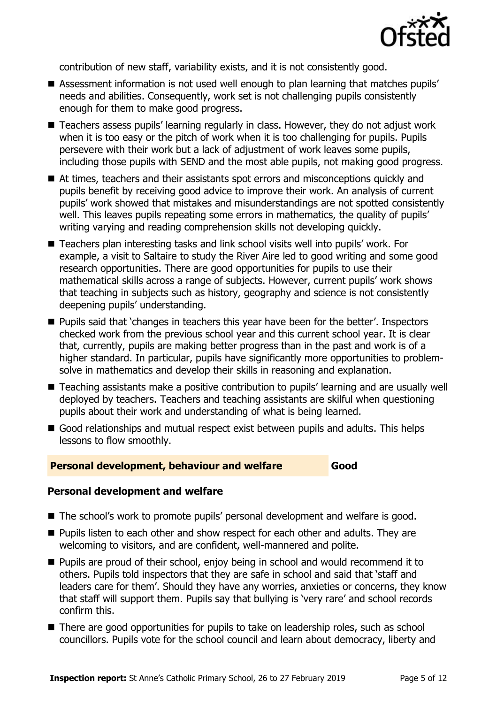

contribution of new staff, variability exists, and it is not consistently good.

- Assessment information is not used well enough to plan learning that matches pupils' needs and abilities. Consequently, work set is not challenging pupils consistently enough for them to make good progress.
- Teachers assess pupils' learning regularly in class. However, they do not adjust work when it is too easy or the pitch of work when it is too challenging for pupils. Pupils persevere with their work but a lack of adjustment of work leaves some pupils, including those pupils with SEND and the most able pupils, not making good progress.
- At times, teachers and their assistants spot errors and misconceptions quickly and pupils benefit by receiving good advice to improve their work. An analysis of current pupils' work showed that mistakes and misunderstandings are not spotted consistently well. This leaves pupils repeating some errors in mathematics, the quality of pupils' writing varying and reading comprehension skills not developing quickly.
- Teachers plan interesting tasks and link school visits well into pupils' work. For example, a visit to Saltaire to study the River Aire led to good writing and some good research opportunities. There are good opportunities for pupils to use their mathematical skills across a range of subjects. However, current pupils' work shows that teaching in subjects such as history, geography and science is not consistently deepening pupils' understanding.
- **Pupils said that 'changes in teachers this year have been for the better'. Inspectors** checked work from the previous school year and this current school year. It is clear that, currently, pupils are making better progress than in the past and work is of a higher standard. In particular, pupils have significantly more opportunities to problemsolve in mathematics and develop their skills in reasoning and explanation.
- Teaching assistants make a positive contribution to pupils' learning and are usually well deployed by teachers. Teachers and teaching assistants are skilful when questioning pupils about their work and understanding of what is being learned.
- Good relationships and mutual respect exist between pupils and adults. This helps lessons to flow smoothly.

### **Personal development, behaviour and welfare Good**

### **Personal development and welfare**

- The school's work to promote pupils' personal development and welfare is good.
- **Pupils listen to each other and show respect for each other and adults. They are** welcoming to visitors, and are confident, well-mannered and polite.
- **Pupils are proud of their school, enjoy being in school and would recommend it to** others. Pupils told inspectors that they are safe in school and said that 'staff and leaders care for them'. Should they have any worries, anxieties or concerns, they know that staff will support them. Pupils say that bullying is 'very rare' and school records confirm this.
- There are good opportunities for pupils to take on leadership roles, such as school councillors. Pupils vote for the school council and learn about democracy, liberty and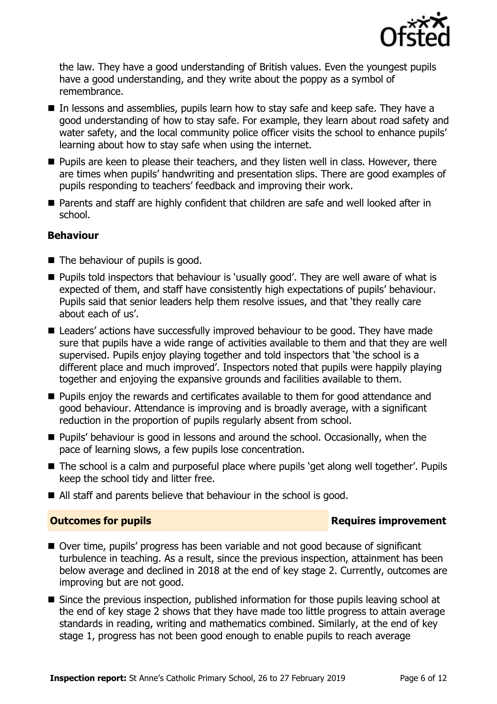

the law. They have a good understanding of British values. Even the youngest pupils have a good understanding, and they write about the poppy as a symbol of remembrance.

- In lessons and assemblies, pupils learn how to stay safe and keep safe. They have a good understanding of how to stay safe. For example, they learn about road safety and water safety, and the local community police officer visits the school to enhance pupils' learning about how to stay safe when using the internet.
- **Pupils are keen to please their teachers, and they listen well in class. However, there** are times when pupils' handwriting and presentation slips. There are good examples of pupils responding to teachers' feedback and improving their work.
- Parents and staff are highly confident that children are safe and well looked after in school.

### **Behaviour**

- $\blacksquare$  The behaviour of pupils is good.
- **Pupils told inspectors that behaviour is 'usually good'. They are well aware of what is** expected of them, and staff have consistently high expectations of pupils' behaviour. Pupils said that senior leaders help them resolve issues, and that 'they really care about each of us'.
- Leaders' actions have successfully improved behaviour to be good. They have made sure that pupils have a wide range of activities available to them and that they are well supervised. Pupils enjoy playing together and told inspectors that 'the school is a different place and much improved'. Inspectors noted that pupils were happily playing together and enjoying the expansive grounds and facilities available to them.
- **Pupils enjoy the rewards and certificates available to them for good attendance and** good behaviour. Attendance is improving and is broadly average, with a significant reduction in the proportion of pupils regularly absent from school.
- **Pupils' behaviour is good in lessons and around the school. Occasionally, when the** pace of learning slows, a few pupils lose concentration.
- The school is a calm and purposeful place where pupils 'get along well together'. Pupils keep the school tidy and litter free.
- All staff and parents believe that behaviour in the school is good.

### **Outcomes for pupils Requires improvement**

- Over time, pupils' progress has been variable and not good because of significant turbulence in teaching. As a result, since the previous inspection, attainment has been below average and declined in 2018 at the end of key stage 2. Currently, outcomes are improving but are not good.
- Since the previous inspection, published information for those pupils leaving school at the end of key stage 2 shows that they have made too little progress to attain average standards in reading, writing and mathematics combined. Similarly, at the end of key stage 1, progress has not been good enough to enable pupils to reach average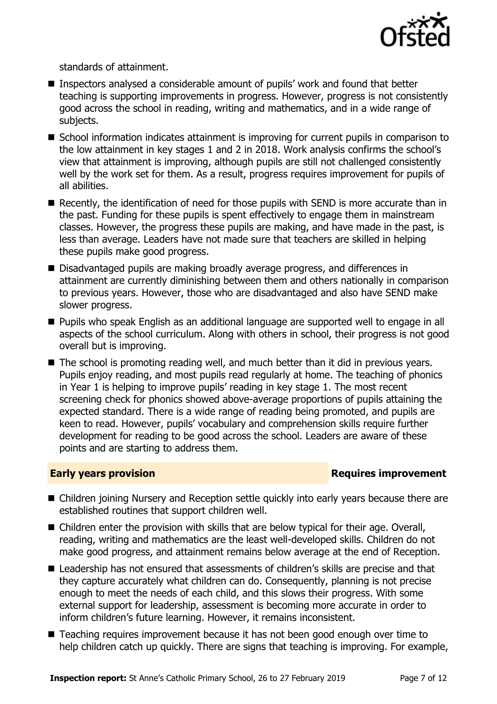

standards of attainment.

- Inspectors analysed a considerable amount of pupils' work and found that better teaching is supporting improvements in progress. However, progress is not consistently good across the school in reading, writing and mathematics, and in a wide range of subjects.
- School information indicates attainment is improving for current pupils in comparison to the low attainment in key stages 1 and 2 in 2018. Work analysis confirms the school's view that attainment is improving, although pupils are still not challenged consistently well by the work set for them. As a result, progress requires improvement for pupils of all abilities.
- Recently, the identification of need for those pupils with SEND is more accurate than in the past. Funding for these pupils is spent effectively to engage them in mainstream classes. However, the progress these pupils are making, and have made in the past, is less than average. Leaders have not made sure that teachers are skilled in helping these pupils make good progress.
- Disadvantaged pupils are making broadly average progress, and differences in attainment are currently diminishing between them and others nationally in comparison to previous years. However, those who are disadvantaged and also have SEND make slower progress.
- **Pupils who speak English as an additional language are supported well to engage in all** aspects of the school curriculum. Along with others in school, their progress is not good overall but is improving.
- The school is promoting reading well, and much better than it did in previous years. Pupils enjoy reading, and most pupils read regularly at home. The teaching of phonics in Year 1 is helping to improve pupils' reading in key stage 1. The most recent screening check for phonics showed above-average proportions of pupils attaining the expected standard. There is a wide range of reading being promoted, and pupils are keen to read. However, pupils' vocabulary and comprehension skills require further development for reading to be good across the school. Leaders are aware of these points and are starting to address them.

### **Early years provision**

- Children joining Nursery and Reception settle quickly into early years because there are established routines that support children well.
- Children enter the provision with skills that are below typical for their age. Overall, reading, writing and mathematics are the least well-developed skills. Children do not make good progress, and attainment remains below average at the end of Reception.
- Leadership has not ensured that assessments of children's skills are precise and that they capture accurately what children can do. Consequently, planning is not precise enough to meet the needs of each child, and this slows their progress. With some external support for leadership, assessment is becoming more accurate in order to inform children's future learning. However, it remains inconsistent.
- Teaching requires improvement because it has not been good enough over time to help children catch up quickly. There are signs that teaching is improving. For example,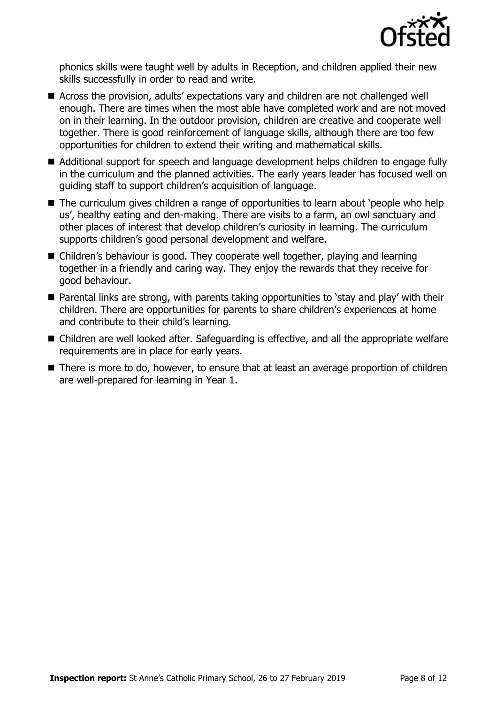

phonics skills were taught well by adults in Reception, and children applied their new skills successfully in order to read and write.

- Across the provision, adults' expectations vary and children are not challenged well enough. There are times when the most able have completed work and are not moved on in their learning. In the outdoor provision, children are creative and cooperate well together. There is good reinforcement of language skills, although there are too few opportunities for children to extend their writing and mathematical skills.
- Additional support for speech and language development helps children to engage fully in the curriculum and the planned activities. The early years leader has focused well on guiding staff to support children's acquisition of language.
- The curriculum gives children a range of opportunities to learn about 'people who help us', healthy eating and den-making. There are visits to a farm, an owl sanctuary and other places of interest that develop children's curiosity in learning. The curriculum supports children's good personal development and welfare.
- Children's behaviour is good. They cooperate well together, playing and learning together in a friendly and caring way. They enjoy the rewards that they receive for good behaviour.
- Parental links are strong, with parents taking opportunities to 'stay and play' with their children. There are opportunities for parents to share children's experiences at home and contribute to their child's learning.
- Children are well looked after. Safeguarding is effective, and all the appropriate welfare requirements are in place for early years.
- There is more to do, however, to ensure that at least an average proportion of children are well-prepared for learning in Year 1.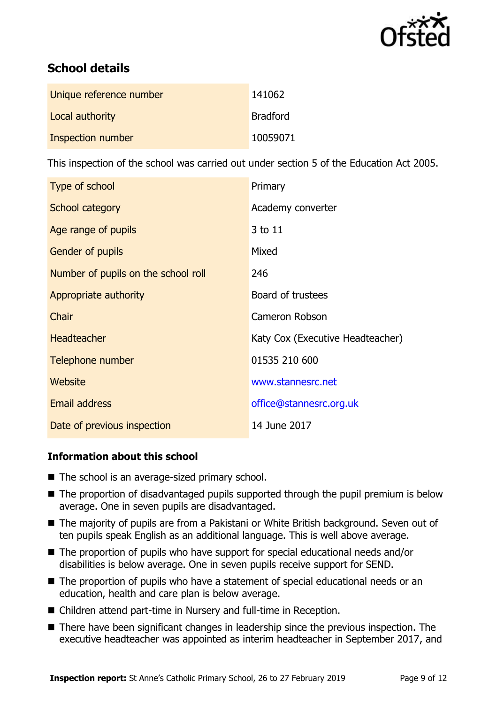

# **School details**

| Unique reference number | 141062          |
|-------------------------|-----------------|
| Local authority         | <b>Bradford</b> |
| Inspection number       | 10059071        |

This inspection of the school was carried out under section 5 of the Education Act 2005.

| Type of school                      | Primary                          |
|-------------------------------------|----------------------------------|
| School category                     | Academy converter                |
| Age range of pupils                 | 3 to 11                          |
| Gender of pupils                    | Mixed                            |
| Number of pupils on the school roll | 246                              |
| Appropriate authority               | Board of trustees                |
| Chair                               | Cameron Robson                   |
| <b>Headteacher</b>                  | Katy Cox (Executive Headteacher) |
| Telephone number                    | 01535 210 600                    |
| Website                             | www.stannesrc.net                |
| <b>Email address</b>                | office@stannesrc.org.uk          |
| Date of previous inspection         | 14 June 2017                     |

### **Information about this school**

- The school is an average-sized primary school.
- The proportion of disadvantaged pupils supported through the pupil premium is below average. One in seven pupils are disadvantaged.
- The majority of pupils are from a Pakistani or White British background. Seven out of ten pupils speak English as an additional language. This is well above average.
- The proportion of pupils who have support for special educational needs and/or disabilities is below average. One in seven pupils receive support for SEND.
- The proportion of pupils who have a statement of special educational needs or an education, health and care plan is below average.
- Children attend part-time in Nursery and full-time in Reception.
- There have been significant changes in leadership since the previous inspection. The executive headteacher was appointed as interim headteacher in September 2017, and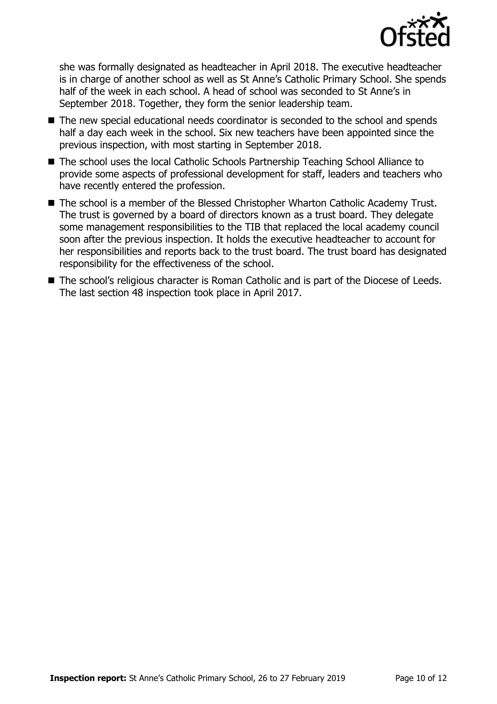

she was formally designated as headteacher in April 2018. The executive headteacher is in charge of another school as well as St Anne's Catholic Primary School. She spends half of the week in each school. A head of school was seconded to St Anne's in September 2018. Together, they form the senior leadership team.

- The new special educational needs coordinator is seconded to the school and spends half a day each week in the school. Six new teachers have been appointed since the previous inspection, with most starting in September 2018.
- The school uses the local Catholic Schools Partnership Teaching School Alliance to provide some aspects of professional development for staff, leaders and teachers who have recently entered the profession.
- The school is a member of the Blessed Christopher Wharton Catholic Academy Trust. The trust is governed by a board of directors known as a trust board. They delegate some management responsibilities to the TIB that replaced the local academy council soon after the previous inspection. It holds the executive headteacher to account for her responsibilities and reports back to the trust board. The trust board has designated responsibility for the effectiveness of the school.
- The school's religious character is Roman Catholic and is part of the Diocese of Leeds. The last section 48 inspection took place in April 2017.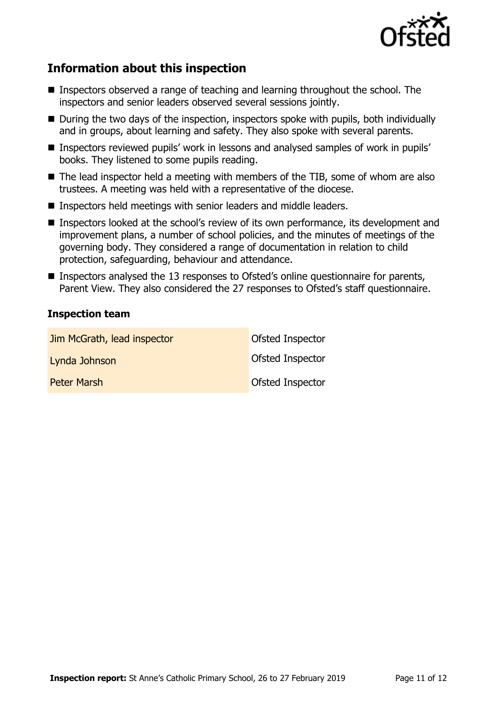

# **Information about this inspection**

- Inspectors observed a range of teaching and learning throughout the school. The inspectors and senior leaders observed several sessions jointly.
- $\blacksquare$  During the two days of the inspection, inspectors spoke with pupils, both individually and in groups, about learning and safety. They also spoke with several parents.
- Inspectors reviewed pupils' work in lessons and analysed samples of work in pupils' books. They listened to some pupils reading.
- $\blacksquare$  The lead inspector held a meeting with members of the TIB, some of whom are also trustees. A meeting was held with a representative of the diocese.
- Inspectors held meetings with senior leaders and middle leaders.
- Inspectors looked at the school's review of its own performance, its development and improvement plans, a number of school policies, and the minutes of meetings of the governing body. They considered a range of documentation in relation to child protection, safeguarding, behaviour and attendance.
- Inspectors analysed the 13 responses to Ofsted's online questionnaire for parents, Parent View. They also considered the 27 responses to Ofsted's staff questionnaire.

### **Inspection team**

| Jim McGrath, lead inspector | Ofsted Inspector |
|-----------------------------|------------------|
| Lynda Johnson               | Ofsted Inspector |
| <b>Peter Marsh</b>          | Ofsted Inspector |